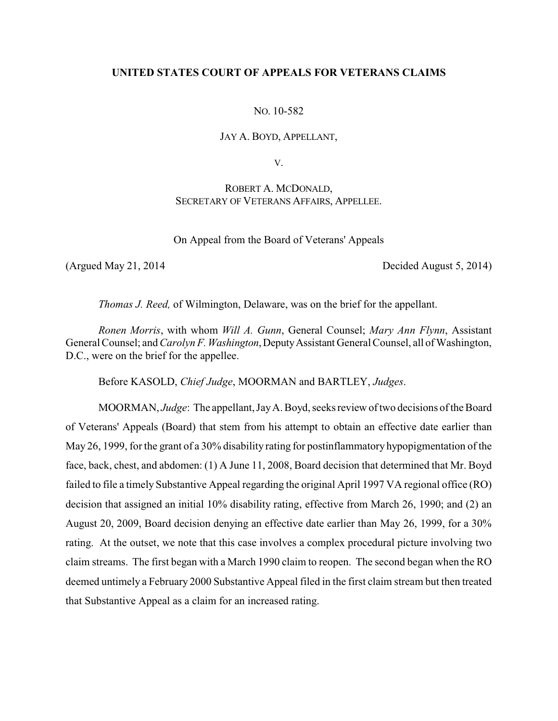# **UNITED STATES COURT OF APPEALS FOR VETERANS CLAIMS**

## NO. 10-582

#### JAY A. BOYD, APPELLANT,

V.

# ROBERT A. MCDONALD, SECRETARY OF VETERANS AFFAIRS, APPELLEE.

On Appeal from the Board of Veterans' Appeals

(Argued May 21, 2014 Decided August 5, 2014)

*Thomas J. Reed,* of Wilmington, Delaware, was on the brief for the appellant.

*Ronen Morris*, with whom *Will A. Gunn*, General Counsel; *Mary Ann Flynn*, Assistant General Counsel; and *Carolyn F. Washington*, Deputy Assistant General Counsel, all of Washington, D.C., were on the brief for the appellee.

Before KASOLD, *Chief Judge*, MOORMAN and BARTLEY, *Judges*.

MOORMAN, *Judge*: The appellant, JayA. Boyd, seeks review of two decisions of the Board of Veterans' Appeals (Board) that stem from his attempt to obtain an effective date earlier than May 26, 1999, for the grant of a 30% disability rating for postinflammatory hypopigmentation of the face, back, chest, and abdomen: (1) A June 11, 2008, Board decision that determined that Mr. Boyd failed to file a timely Substantive Appeal regarding the original April 1997 VA regional office (RO) decision that assigned an initial 10% disability rating, effective from March 26, 1990; and (2) an August 20, 2009, Board decision denying an effective date earlier than May 26, 1999, for a 30% rating. At the outset, we note that this case involves a complex procedural picture involving two claim streams. The first began with a March 1990 claim to reopen. The second began when the RO deemed untimely a February 2000 Substantive Appeal filed in the first claim stream but then treated that Substantive Appeal as a claim for an increased rating.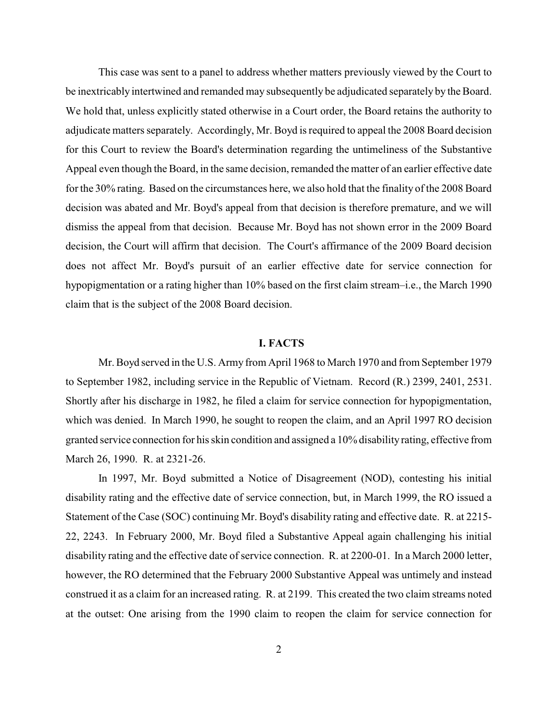This case was sent to a panel to address whether matters previously viewed by the Court to be inextricably intertwined and remanded may subsequently be adjudicated separately by the Board. We hold that, unless explicitly stated otherwise in a Court order, the Board retains the authority to adjudicate matters separately. Accordingly, Mr. Boyd is required to appeal the 2008 Board decision for this Court to review the Board's determination regarding the untimeliness of the Substantive Appeal even though the Board, in the same decision, remanded the matter of an earlier effective date for the 30% rating. Based on the circumstances here, we also hold that the finality of the 2008 Board decision was abated and Mr. Boyd's appeal from that decision is therefore premature, and we will dismiss the appeal from that decision. Because Mr. Boyd has not shown error in the 2009 Board decision, the Court will affirm that decision. The Court's affirmance of the 2009 Board decision does not affect Mr. Boyd's pursuit of an earlier effective date for service connection for hypopigmentation or a rating higher than 10% based on the first claim stream–i.e., the March 1990 claim that is the subject of the 2008 Board decision.

#### **I. FACTS**

Mr. Boyd served in the U.S. Army from April 1968 to March 1970 and from September 1979 to September 1982, including service in the Republic of Vietnam. Record (R.) 2399, 2401, 2531. Shortly after his discharge in 1982, he filed a claim for service connection for hypopigmentation, which was denied. In March 1990, he sought to reopen the claim, and an April 1997 RO decision granted service connection for his skin condition and assigned a 10% disability rating, effective from March 26, 1990. R. at 2321-26.

In 1997, Mr. Boyd submitted a Notice of Disagreement (NOD), contesting his initial disability rating and the effective date of service connection, but, in March 1999, the RO issued a Statement of the Case (SOC) continuing Mr. Boyd's disability rating and effective date. R. at 2215- 22, 2243. In February 2000, Mr. Boyd filed a Substantive Appeal again challenging his initial disability rating and the effective date of service connection. R. at 2200-01. In a March 2000 letter, however, the RO determined that the February 2000 Substantive Appeal was untimely and instead construed it as a claim for an increased rating. R. at 2199. This created the two claim streams noted at the outset: One arising from the 1990 claim to reopen the claim for service connection for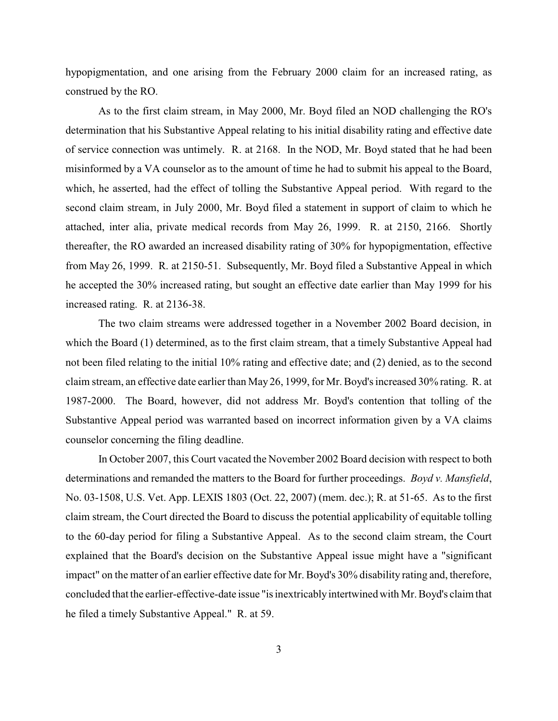hypopigmentation, and one arising from the February 2000 claim for an increased rating, as construed by the RO.

As to the first claim stream, in May 2000, Mr. Boyd filed an NOD challenging the RO's determination that his Substantive Appeal relating to his initial disability rating and effective date of service connection was untimely. R. at 2168. In the NOD, Mr. Boyd stated that he had been misinformed by a VA counselor as to the amount of time he had to submit his appeal to the Board, which, he asserted, had the effect of tolling the Substantive Appeal period. With regard to the second claim stream, in July 2000, Mr. Boyd filed a statement in support of claim to which he attached, inter alia, private medical records from May 26, 1999. R. at 2150, 2166. Shortly thereafter, the RO awarded an increased disability rating of 30% for hypopigmentation, effective from May 26, 1999. R. at 2150-51. Subsequently, Mr. Boyd filed a Substantive Appeal in which he accepted the 30% increased rating, but sought an effective date earlier than May 1999 for his increased rating. R. at 2136-38.

The two claim streams were addressed together in a November 2002 Board decision, in which the Board (1) determined, as to the first claim stream, that a timely Substantive Appeal had not been filed relating to the initial 10% rating and effective date; and (2) denied, as to the second claim stream, an effective date earlier than May 26, 1999, for Mr. Boyd's increased 30% rating. R. at 1987-2000. The Board, however, did not address Mr. Boyd's contention that tolling of the Substantive Appeal period was warranted based on incorrect information given by a VA claims counselor concerning the filing deadline.

In October 2007, this Court vacated the November 2002 Board decision with respect to both determinations and remanded the matters to the Board for further proceedings. *Boyd v. Mansfield*, No. 03-1508, U.S. Vet. App. LEXIS 1803 (Oct. 22, 2007) (mem. dec.); R. at 51-65. As to the first claim stream, the Court directed the Board to discuss the potential applicability of equitable tolling to the 60-day period for filing a Substantive Appeal. As to the second claim stream, the Court explained that the Board's decision on the Substantive Appeal issue might have a "significant impact" on the matter of an earlier effective date for Mr. Boyd's 30% disability rating and, therefore, concluded that the earlier-effective-date issue "is inextricablyintertwined with Mr. Boyd's claim that he filed a timely Substantive Appeal." R. at 59.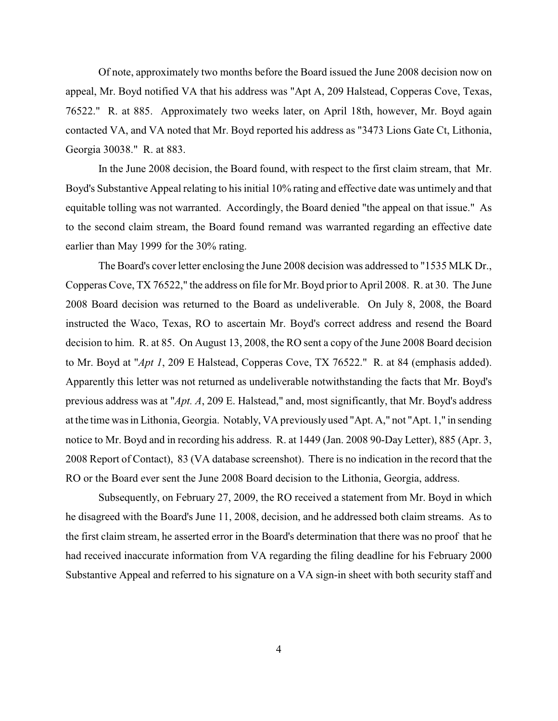Of note, approximately two months before the Board issued the June 2008 decision now on appeal, Mr. Boyd notified VA that his address was "Apt A, 209 Halstead, Copperas Cove, Texas, 76522." R. at 885. Approximately two weeks later, on April 18th, however, Mr. Boyd again contacted VA, and VA noted that Mr. Boyd reported his address as "3473 Lions Gate Ct, Lithonia, Georgia 30038." R. at 883.

In the June 2008 decision, the Board found, with respect to the first claim stream, that Mr. Boyd's Substantive Appeal relating to his initial 10% rating and effective date was untimely and that equitable tolling was not warranted. Accordingly, the Board denied "the appeal on that issue." As to the second claim stream, the Board found remand was warranted regarding an effective date earlier than May 1999 for the 30% rating.

The Board's cover letter enclosing the June 2008 decision was addressed to "1535 MLK Dr., Copperas Cove, TX 76522," the address on file for Mr. Boyd prior to April 2008. R. at 30. The June 2008 Board decision was returned to the Board as undeliverable. On July 8, 2008, the Board instructed the Waco, Texas, RO to ascertain Mr. Boyd's correct address and resend the Board decision to him. R. at 85. On August 13, 2008, the RO sent a copy of the June 2008 Board decision to Mr. Boyd at "*Apt 1*, 209 E Halstead, Copperas Cove, TX 76522." R. at 84 (emphasis added). Apparently this letter was not returned as undeliverable notwithstanding the facts that Mr. Boyd's previous address was at "*Apt. A*, 209 E. Halstead," and, most significantly, that Mr. Boyd's address at the time was in Lithonia, Georgia. Notably, VA previously used "Apt. A," not "Apt. 1," in sending notice to Mr. Boyd and in recording his address. R. at 1449 (Jan. 2008 90-Day Letter), 885 (Apr. 3, 2008 Report of Contact), 83 (VA database screenshot). There is no indication in the record that the RO or the Board ever sent the June 2008 Board decision to the Lithonia, Georgia, address.

Subsequently, on February 27, 2009, the RO received a statement from Mr. Boyd in which he disagreed with the Board's June 11, 2008, decision, and he addressed both claim streams. As to the first claim stream, he asserted error in the Board's determination that there was no proof that he had received inaccurate information from VA regarding the filing deadline for his February 2000 Substantive Appeal and referred to his signature on a VA sign-in sheet with both security staff and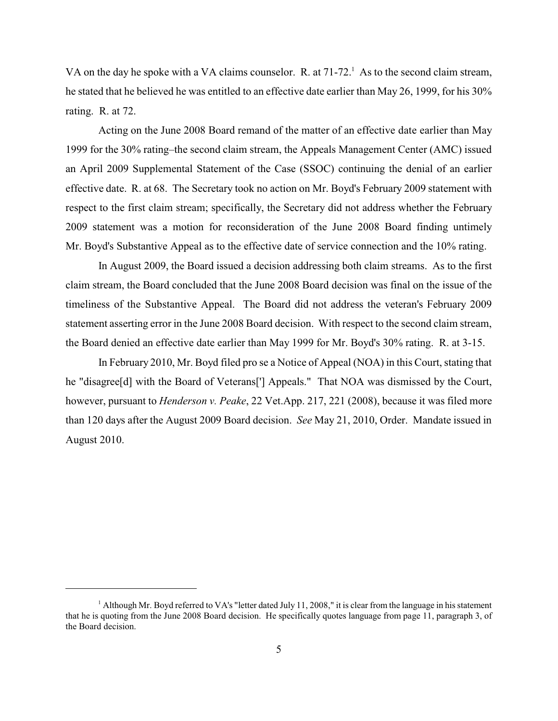VA on the day he spoke with a VA claims counselor. R. at  $71-72<sup>1</sup>$  As to the second claim stream, he stated that he believed he was entitled to an effective date earlier than May 26, 1999, for his 30% rating. R. at 72.

Acting on the June 2008 Board remand of the matter of an effective date earlier than May 1999 for the 30% rating–the second claim stream, the Appeals Management Center (AMC) issued an April 2009 Supplemental Statement of the Case (SSOC) continuing the denial of an earlier effective date. R. at 68. The Secretary took no action on Mr. Boyd's February 2009 statement with respect to the first claim stream; specifically, the Secretary did not address whether the February 2009 statement was a motion for reconsideration of the June 2008 Board finding untimely Mr. Boyd's Substantive Appeal as to the effective date of service connection and the 10% rating.

In August 2009, the Board issued a decision addressing both claim streams. As to the first claim stream, the Board concluded that the June 2008 Board decision was final on the issue of the timeliness of the Substantive Appeal. The Board did not address the veteran's February 2009 statement asserting error in the June 2008 Board decision. With respect to the second claim stream, the Board denied an effective date earlier than May 1999 for Mr. Boyd's 30% rating. R. at 3-15.

In February 2010, Mr. Boyd filed pro se a Notice of Appeal (NOA) in this Court, stating that he "disagree[d] with the Board of Veterans['] Appeals." That NOA was dismissed by the Court, however, pursuant to *Henderson v. Peake*, 22 Vet.App. 217, 221 (2008), because it was filed more than 120 days after the August 2009 Board decision. *See* May 21, 2010, Order. Mandate issued in August 2010.

 $^1$  Although Mr. Boyd referred to VA's "letter dated July 11, 2008," it is clear from the language in his statement that he is quoting from the June 2008 Board decision. He specifically quotes language from page 11, paragraph 3, of the Board decision.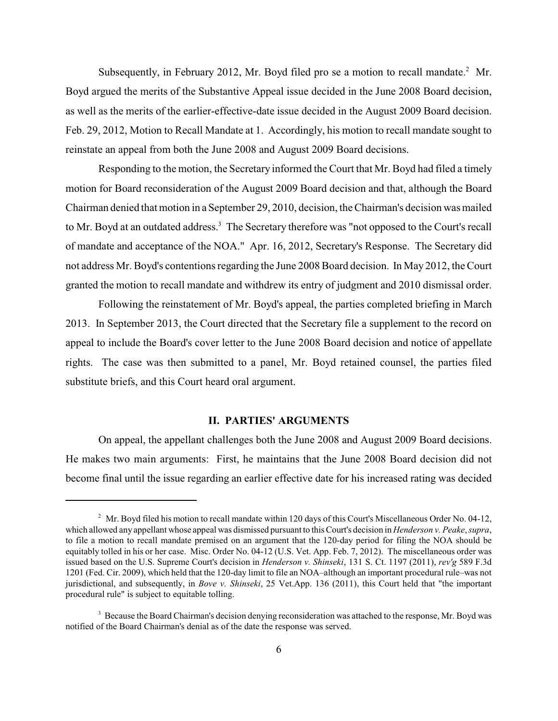Subsequently, in February 2012, Mr. Boyd filed pro se a motion to recall mandate.<sup>2</sup> Mr. Boyd argued the merits of the Substantive Appeal issue decided in the June 2008 Board decision, as well as the merits of the earlier-effective-date issue decided in the August 2009 Board decision. Feb. 29, 2012, Motion to Recall Mandate at 1. Accordingly, his motion to recall mandate sought to reinstate an appeal from both the June 2008 and August 2009 Board decisions.

Responding to the motion, the Secretary informed the Court that Mr. Boyd had filed a timely motion for Board reconsideration of the August 2009 Board decision and that, although the Board Chairman denied that motion in a September 29, 2010, decision, the Chairman's decision was mailed to Mr. Boyd at an outdated address.<sup>3</sup> The Secretary therefore was "not opposed to the Court's recall of mandate and acceptance of the NOA." Apr. 16, 2012, Secretary's Response. The Secretary did not address Mr. Boyd's contentions regarding the June 2008 Board decision. In May 2012, the Court granted the motion to recall mandate and withdrew its entry of judgment and 2010 dismissal order.

Following the reinstatement of Mr. Boyd's appeal, the parties completed briefing in March 2013. In September 2013, the Court directed that the Secretary file a supplement to the record on appeal to include the Board's cover letter to the June 2008 Board decision and notice of appellate rights. The case was then submitted to a panel, Mr. Boyd retained counsel, the parties filed substitute briefs, and this Court heard oral argument.

# **II. PARTIES' ARGUMENTS**

On appeal, the appellant challenges both the June 2008 and August 2009 Board decisions. He makes two main arguments: First, he maintains that the June 2008 Board decision did not become final until the issue regarding an earlier effective date for his increased rating was decided

 $^2$  Mr. Boyd filed his motion to recall mandate within 120 days of this Court's Miscellaneous Order No. 04-12, which allowed any appellant whose appeal was dismissed pursuant to thisCourt's decision in *Henderson v. Peake*, *supra*, to file a motion to recall mandate premised on an argument that the 120-day period for filing the NOA should be equitably tolled in his or her case. Misc. Order No. 04-12 (U.S. Vet. App. Feb. 7, 2012). The miscellaneous order was issued based on the U.S. Supreme Court's decision in *Henderson v. Shinseki*, 131 S. Ct. 1197 (2011), *rev'g* 589 F.3d 1201 (Fed. Cir. 2009), which held that the 120-day limit to file an NOA–although an important procedural rule–was not jurisdictional, and subsequently, in *Bove v. Shinseki*, 25 Vet.App. 136 (2011), this Court held that "the important procedural rule" is subject to equitable tolling.

<sup>&</sup>lt;sup>3</sup> Because the Board Chairman's decision denying reconsideration was attached to the response, Mr. Boyd was notified of the Board Chairman's denial as of the date the response was served.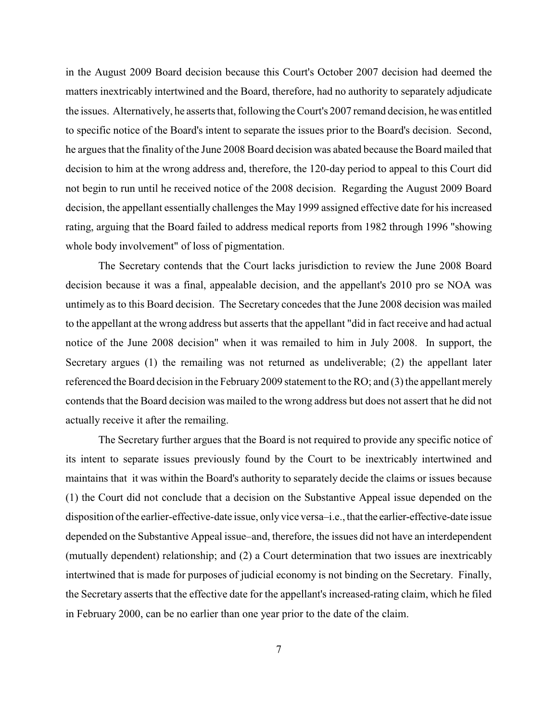in the August 2009 Board decision because this Court's October 2007 decision had deemed the matters inextricably intertwined and the Board, therefore, had no authority to separately adjudicate the issues. Alternatively, he asserts that, following the Court's 2007 remand decision, he was entitled to specific notice of the Board's intent to separate the issues prior to the Board's decision. Second, he argues that the finality of the June 2008 Board decision was abated because the Board mailed that decision to him at the wrong address and, therefore, the 120-day period to appeal to this Court did not begin to run until he received notice of the 2008 decision. Regarding the August 2009 Board decision, the appellant essentially challenges the May 1999 assigned effective date for his increased rating, arguing that the Board failed to address medical reports from 1982 through 1996 "showing whole body involvement" of loss of pigmentation.

The Secretary contends that the Court lacks jurisdiction to review the June 2008 Board decision because it was a final, appealable decision, and the appellant's 2010 pro se NOA was untimely as to this Board decision. The Secretary concedes that the June 2008 decision was mailed to the appellant at the wrong address but asserts that the appellant "did in fact receive and had actual notice of the June 2008 decision" when it was remailed to him in July 2008. In support, the Secretary argues (1) the remailing was not returned as undeliverable; (2) the appellant later referenced the Board decision in the February 2009 statement to the RO; and (3) the appellant merely contends that the Board decision was mailed to the wrong address but does not assert that he did not actually receive it after the remailing.

The Secretary further argues that the Board is not required to provide any specific notice of its intent to separate issues previously found by the Court to be inextricably intertwined and maintains that it was within the Board's authority to separately decide the claims or issues because (1) the Court did not conclude that a decision on the Substantive Appeal issue depended on the disposition of the earlier-effective-date issue, onlyvice versa–i.e., that the earlier-effective-date issue depended on the Substantive Appeal issue–and, therefore, the issues did not have an interdependent (mutually dependent) relationship; and (2) a Court determination that two issues are inextricably intertwined that is made for purposes of judicial economy is not binding on the Secretary. Finally, the Secretary asserts that the effective date for the appellant's increased-rating claim, which he filed in February 2000, can be no earlier than one year prior to the date of the claim.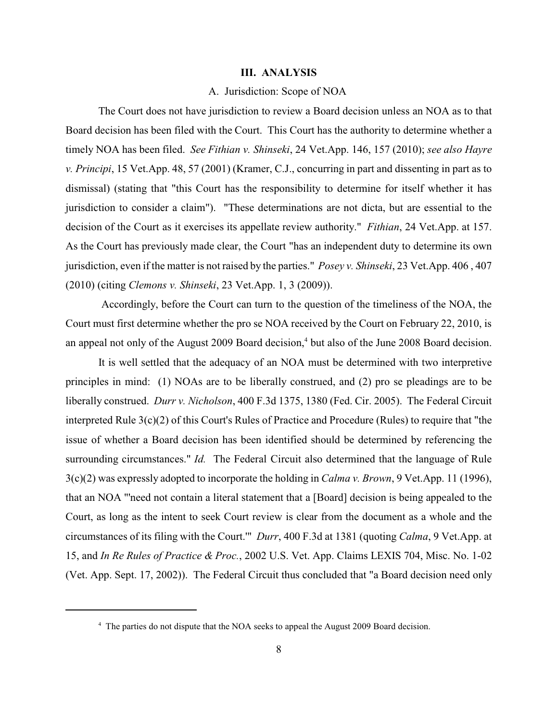#### **III. ANALYSIS**

### A. Jurisdiction: Scope of NOA

The Court does not have jurisdiction to review a Board decision unless an NOA as to that Board decision has been filed with the Court. This Court has the authority to determine whether a timely NOA has been filed. *See Fithian v. Shinseki*, 24 Vet.App. 146, 157 (2010); *see also Hayre v. Principi*, 15 Vet.App. 48, 57 (2001) (Kramer, C.J., concurring in part and dissenting in part as to dismissal) (stating that "this Court has the responsibility to determine for itself whether it has jurisdiction to consider a claim"). "These determinations are not dicta, but are essential to the decision of the Court as it exercises its appellate review authority." *Fithian*, 24 Vet.App. at 157. As the Court has previously made clear, the Court "has an independent duty to determine its own jurisdiction, even if the matter is not raised by the parties." *Posey v. Shinseki*, 23 Vet.App. 406 , 407 (2010) (citing *Clemons v. Shinseki*, 23 Vet.App. 1, 3 (2009)).

Accordingly, before the Court can turn to the question of the timeliness of the NOA, the Court must first determine whether the pro se NOA received by the Court on February 22, 2010, is an appeal not only of the August 2009 Board decision,<sup>4</sup> but also of the June 2008 Board decision.

It is well settled that the adequacy of an NOA must be determined with two interpretive principles in mind: (1) NOAs are to be liberally construed, and (2) pro se pleadings are to be liberally construed. *Durr v. Nicholson*, 400 F.3d 1375, 1380 (Fed. Cir. 2005). The Federal Circuit interpreted Rule 3(c)(2) of this Court's Rules of Practice and Procedure (Rules) to require that "the issue of whether a Board decision has been identified should be determined by referencing the surrounding circumstances." *Id.* The Federal Circuit also determined that the language of Rule 3(c)(2) was expressly adopted to incorporate the holding in *Calma v. Brown*, 9 Vet.App. 11 (1996), that an NOA "'need not contain a literal statement that a [Board] decision is being appealed to the Court, as long as the intent to seek Court review is clear from the document as a whole and the circumstances of its filing with the Court.'" *Durr*, 400 F.3d at 1381 (quoting *Calma*, 9 Vet.App. at 15, and *In Re Rules of Practice & Proc.*, 2002 U.S. Vet. App. Claims LEXIS 704, Misc. No. 1-02 (Vet. App. Sept. 17, 2002)). The Federal Circuit thus concluded that "a Board decision need only

<sup>&</sup>lt;sup>4</sup> The parties do not dispute that the NOA seeks to appeal the August 2009 Board decision.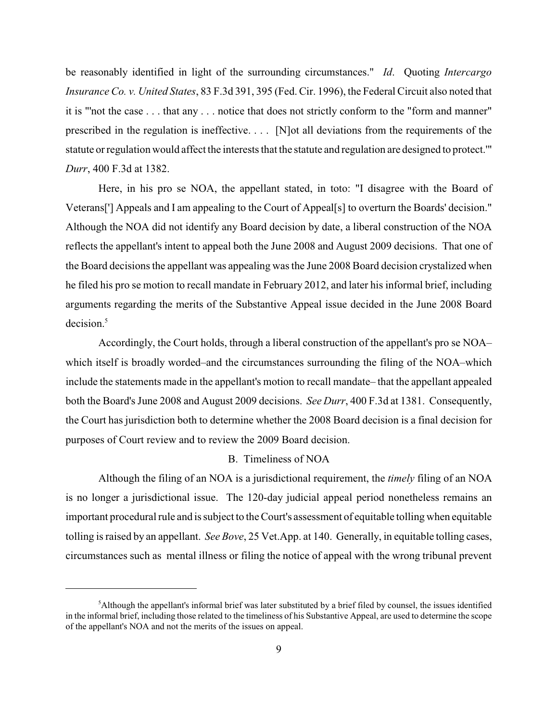be reasonably identified in light of the surrounding circumstances." *Id*. Quoting *Intercargo Insurance Co. v. United States*, 83 F.3d 391, 395 (Fed. Cir. 1996), the Federal Circuit also noted that it is "'not the case . . . that any . . . notice that does not strictly conform to the "form and manner" prescribed in the regulation is ineffective. . . . [N]ot all deviations from the requirements of the statute or regulation would affect the interests that the statute and regulation are designed to protect.'" *Durr*, 400 F.3d at 1382.

Here, in his pro se NOA, the appellant stated, in toto: "I disagree with the Board of Veterans['] Appeals and I am appealing to the Court of Appeal[s] to overturn the Boards' decision." Although the NOA did not identify any Board decision by date, a liberal construction of the NOA reflects the appellant's intent to appeal both the June 2008 and August 2009 decisions. That one of the Board decisions the appellant was appealing was the June 2008 Board decision crystalized when he filed his pro se motion to recall mandate in February 2012, and later his informal brief, including arguments regarding the merits of the Substantive Appeal issue decided in the June 2008 Board decision.<sup>5</sup>

Accordingly, the Court holds, through a liberal construction of the appellant's pro se NOA– which itself is broadly worded–and the circumstances surrounding the filing of the NOA–which include the statements made in the appellant's motion to recall mandate– that the appellant appealed both the Board's June 2008 and August 2009 decisions. *See Durr*, 400 F.3d at 1381. Consequently, the Court has jurisdiction both to determine whether the 2008 Board decision is a final decision for purposes of Court review and to review the 2009 Board decision.

## B. Timeliness of NOA

Although the filing of an NOA is a jurisdictional requirement, the *timely* filing of an NOA is no longer a jurisdictional issue. The 120-day judicial appeal period nonetheless remains an important procedural rule and is subject to the Court's assessment of equitable tolling when equitable tolling is raised by an appellant. *See Bove*, 25 Vet.App. at 140. Generally, in equitable tolling cases, circumstances such as mental illness or filing the notice of appeal with the wrong tribunal prevent

 ${}^5$ Although the appellant's informal brief was later substituted by a brief filed by counsel, the issues identified in the informal brief, including those related to the timeliness of his Substantive Appeal, are used to determine the scope of the appellant's NOA and not the merits of the issues on appeal.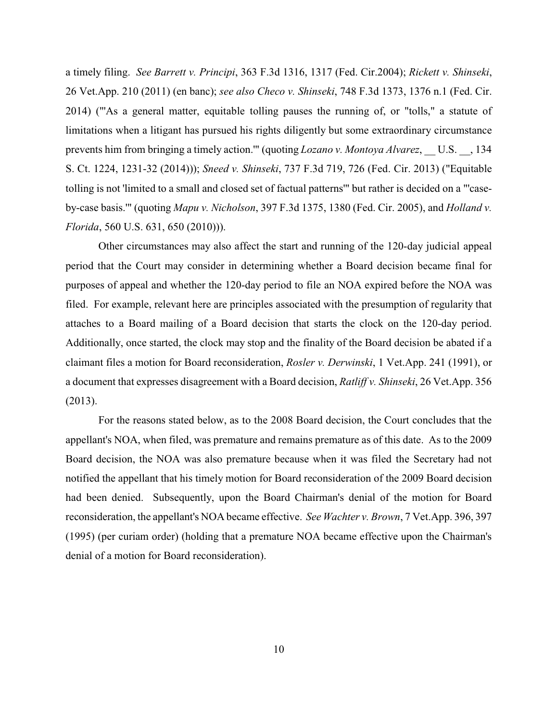a timely filing. *See Barrett v. Principi*, 363 F.3d 1316, 1317 (Fed. Cir.2004); *Rickett v. Shinseki*, 26 Vet.App. 210 (2011) (en banc); *see also Checo v. Shinseki*, 748 F.3d 1373, 1376 n.1 (Fed. Cir. 2014) ("'As a general matter, equitable tolling pauses the running of, or "tolls," a statute of limitations when a litigant has pursued his rights diligently but some extraordinary circumstance prevents him from bringing a timely action."" (quoting *Lozano v. Montoya Alvarez*, U.S., 134 S. Ct. 1224, 1231-32 (2014))); *Sneed v. Shinseki*, 737 F.3d 719, 726 (Fed. Cir. 2013) ("Equitable tolling is not 'limited to a small and closed set of factual patterns'" but rather is decided on a "'caseby-case basis.'" (quoting *Mapu v. Nicholson*, 397 F.3d 1375, 1380 (Fed. Cir. 2005), and *Holland v. Florida*, 560 U.S. 631, 650 (2010))).

Other circumstances may also affect the start and running of the 120-day judicial appeal period that the Court may consider in determining whether a Board decision became final for purposes of appeal and whether the 120-day period to file an NOA expired before the NOA was filed. For example, relevant here are principles associated with the presumption of regularity that attaches to a Board mailing of a Board decision that starts the clock on the 120-day period. Additionally, once started, the clock may stop and the finality of the Board decision be abated if a claimant files a motion for Board reconsideration, *Rosler v. Derwinski*, 1 Vet.App. 241 (1991), or a document that expresses disagreement with a Board decision, *Ratliff v. Shinseki*, 26 Vet.App. 356 (2013).

For the reasons stated below, as to the 2008 Board decision, the Court concludes that the appellant's NOA, when filed, was premature and remains premature as of this date. As to the 2009 Board decision, the NOA was also premature because when it was filed the Secretary had not notified the appellant that his timely motion for Board reconsideration of the 2009 Board decision had been denied. Subsequently, upon the Board Chairman's denial of the motion for Board reconsideration, the appellant's NOA became effective. *See Wachter v. Brown*, 7 Vet.App. 396, 397 (1995) (per curiam order) (holding that a premature NOA became effective upon the Chairman's denial of a motion for Board reconsideration).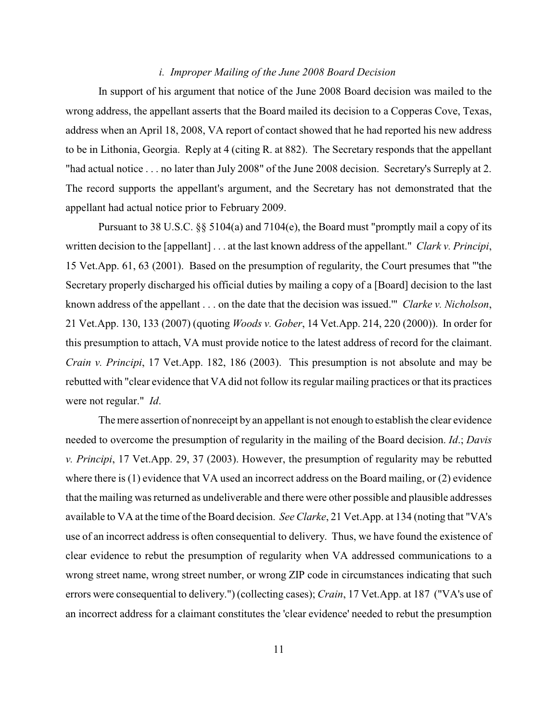## *i. Improper Mailing of the June 2008 Board Decision*

In support of his argument that notice of the June 2008 Board decision was mailed to the wrong address, the appellant asserts that the Board mailed its decision to a Copperas Cove, Texas, address when an April 18, 2008, VA report of contact showed that he had reported his new address to be in Lithonia, Georgia. Reply at 4 (citing R. at 882). The Secretary responds that the appellant "had actual notice . . . no later than July 2008" of the June 2008 decision. Secretary's Surreply at 2. The record supports the appellant's argument, and the Secretary has not demonstrated that the appellant had actual notice prior to February 2009.

Pursuant to 38 U.S.C.  $\S$  5104(a) and 7104(e), the Board must "promptly mail a copy of its written decision to the [appellant] . . . at the last known address of the appellant." *Clark v. Principi*, 15 Vet.App. 61, 63 (2001). Based on the presumption of regularity, the Court presumes that "'the Secretary properly discharged his official duties by mailing a copy of a [Board] decision to the last known address of the appellant . . . on the date that the decision was issued.'" *Clarke v. Nicholson*, 21 Vet.App. 130, 133 (2007) (quoting *Woods v. Gober*, 14 Vet.App. 214, 220 (2000)). In order for this presumption to attach, VA must provide notice to the latest address of record for the claimant. *Crain v. Principi*, 17 Vet.App. 182, 186 (2003). This presumption is not absolute and may be rebutted with "clear evidence that VA did not follow its regular mailing practices or that its practices were not regular." *Id*.

The mere assertion of nonreceipt by an appellant is not enough to establish the clear evidence needed to overcome the presumption of regularity in the mailing of the Board decision. *Id*.; *Davis v. Principi*, 17 Vet.App. 29, 37 (2003). However, the presumption of regularity may be rebutted where there is (1) evidence that VA used an incorrect address on the Board mailing, or (2) evidence that the mailing was returned as undeliverable and there were other possible and plausible addresses available to VA at the time of the Board decision. *See Clarke*, 21 Vet.App. at 134 (noting that "VA's use of an incorrect address is often consequential to delivery. Thus, we have found the existence of clear evidence to rebut the presumption of regularity when VA addressed communications to a wrong street name, wrong street number, or wrong ZIP code in circumstances indicating that such errors were consequential to delivery.") (collecting cases); *Crain*, 17 Vet.App. at 187 ("VA's use of an incorrect address for a claimant constitutes the 'clear evidence' needed to rebut the presumption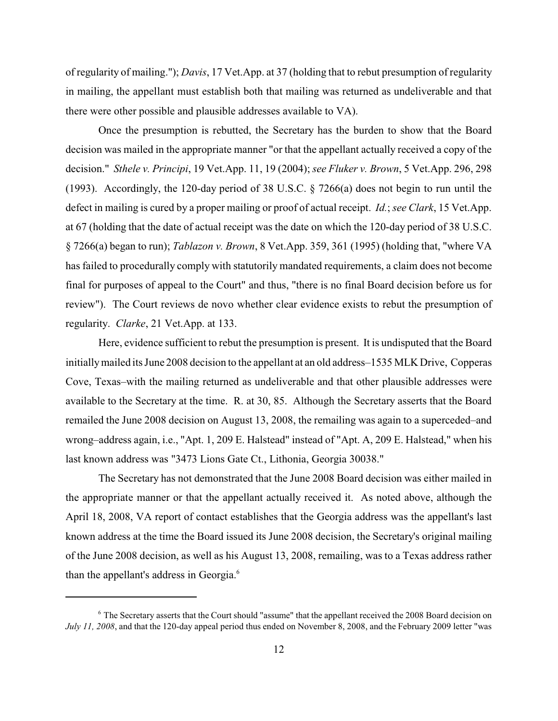of regularity of mailing."); *Davis*, 17 Vet.App. at 37 (holding that to rebut presumption of regularity in mailing, the appellant must establish both that mailing was returned as undeliverable and that there were other possible and plausible addresses available to VA).

Once the presumption is rebutted, the Secretary has the burden to show that the Board decision was mailed in the appropriate manner "or that the appellant actually received a copy of the decision." *Sthele v. Principi*, 19 Vet.App. 11, 19 (2004); *see Fluker v. Brown*, 5 Vet.App. 296, 298 (1993). Accordingly, the 120-day period of 38 U.S.C. § 7266(a) does not begin to run until the defect in mailing is cured by a proper mailing or proof of actual receipt. *Id.*; *see Clark*, 15 Vet.App. at 67 (holding that the date of actual receipt was the date on which the 120-day period of 38 U.S.C. § 7266(a) began to run); *Tablazon v. Brown*, 8 Vet.App. 359, 361 (1995) (holding that, "where VA has failed to procedurally comply with statutorily mandated requirements, a claim does not become final for purposes of appeal to the Court" and thus, "there is no final Board decision before us for review"). The Court reviews de novo whether clear evidence exists to rebut the presumption of regularity. *Clarke*, 21 Vet.App. at 133.

Here, evidence sufficient to rebut the presumption is present. It is undisputed that the Board initiallymailed its June 2008 decision to the appellant at an old address–1535 MLK Drive, Copperas Cove, Texas–with the mailing returned as undeliverable and that other plausible addresses were available to the Secretary at the time. R. at 30, 85. Although the Secretary asserts that the Board remailed the June 2008 decision on August 13, 2008, the remailing was again to a superceded–and wrong–address again, i.e., "Apt. 1, 209 E. Halstead" instead of "Apt. A, 209 E. Halstead," when his last known address was "3473 Lions Gate Ct., Lithonia, Georgia 30038."

The Secretary has not demonstrated that the June 2008 Board decision was either mailed in the appropriate manner or that the appellant actually received it. As noted above, although the April 18, 2008, VA report of contact establishes that the Georgia address was the appellant's last known address at the time the Board issued its June 2008 decision, the Secretary's original mailing of the June 2008 decision, as well as his August 13, 2008, remailing, was to a Texas address rather than the appellant's address in Georgia.<sup>6</sup>

<sup>&</sup>lt;sup>6</sup> The Secretary asserts that the Court should "assume" that the appellant received the 2008 Board decision on *July 11, 2008*, and that the 120-day appeal period thus ended on November 8, 2008, and the February 2009 letter "was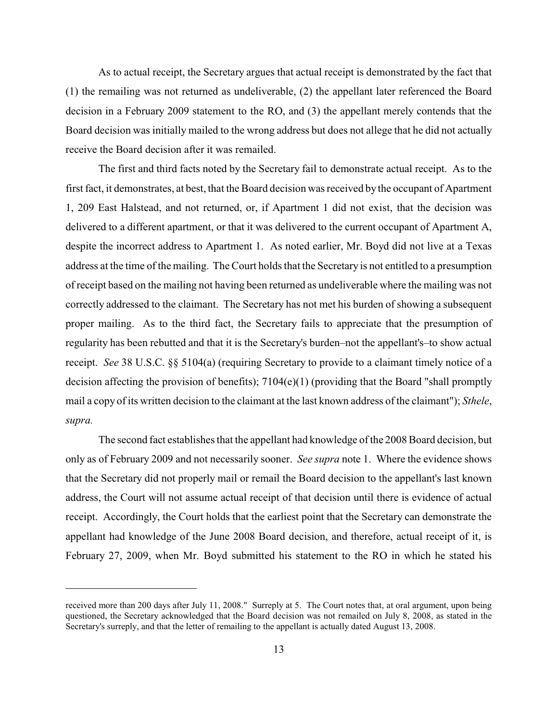As to actual receipt, the Secretary argues that actual receipt is demonstrated by the fact that (1) the remailing was not returned as undeliverable, (2) the appellant later referenced the Board decision in a February 2009 statement to the RO, and (3) the appellant merely contends that the Board decision was initially mailed to the wrong address but does not allege that he did not actually receive the Board decision after it was remailed.

The first and third facts noted by the Secretary fail to demonstrate actual receipt. As to the first fact, it demonstrates, at best, that the Board decision was received by the occupant of Apartment 1, 209 East Halstead, and not returned, or, if Apartment 1 did not exist, that the decision was delivered to a different apartment, or that it was delivered to the current occupant of Apartment A, despite the incorrect address to Apartment 1. As noted earlier, Mr. Boyd did not live at a Texas address at the time of the mailing. The Court holds that the Secretary is not entitled to a presumption of receipt based on the mailing not having been returned as undeliverable where the mailing was not correctly addressed to the claimant. The Secretary has not met his burden of showing a subsequent proper mailing. As to the third fact, the Secretary fails to appreciate that the presumption of regularity has been rebutted and that it is the Secretary's burden–not the appellant's–to show actual receipt. *See* 38 U.S.C. §§ 5104(a) (requiring Secretary to provide to a claimant timely notice of a decision affecting the provision of benefits); 7104(e)(1) (providing that the Board "shall promptly mail a copy of its written decision to the claimant at the last known address of the claimant"); *Sthele*, *supra.*

The second fact establishes that the appellant had knowledge of the 2008 Board decision, but only as of February 2009 and not necessarily sooner. *See supra* note 1. Where the evidence shows that the Secretary did not properly mail or remail the Board decision to the appellant's last known address, the Court will not assume actual receipt of that decision until there is evidence of actual receipt. Accordingly, the Court holds that the earliest point that the Secretary can demonstrate the appellant had knowledge of the June 2008 Board decision, and therefore, actual receipt of it, is February 27, 2009, when Mr. Boyd submitted his statement to the RO in which he stated his

received more than 200 days after July 11, 2008." Surreply at 5. The Court notes that, at oral argument, upon being questioned, the Secretary acknowledged that the Board decision was not remailed on July 8, 2008, as stated in the Secretary's surreply, and that the letter of remailing to the appellant is actually dated August 13, 2008.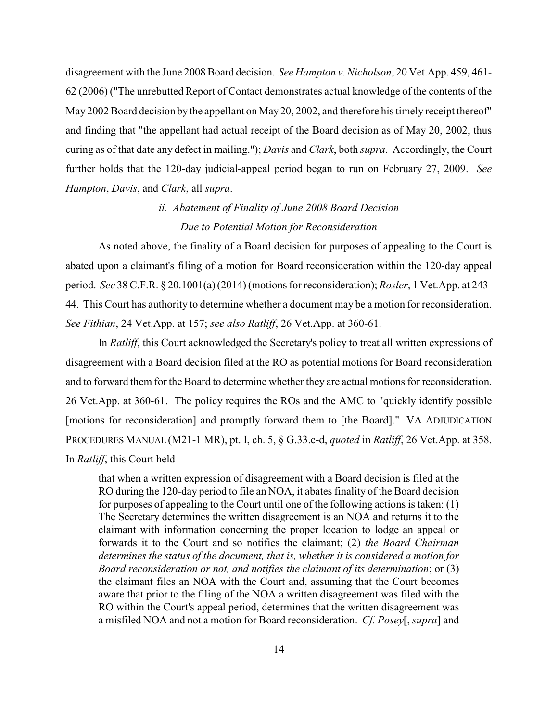disagreement with the June 2008 Board decision. *See Hampton v. Nicholson*, 20 Vet.App. 459, 461- 62 (2006) ("The unrebutted Report of Contact demonstrates actual knowledge of the contents of the May 2002 Board decision by the appellant on May 20, 2002, and therefore his timely receipt thereof" and finding that "the appellant had actual receipt of the Board decision as of May 20, 2002, thus curing as of that date any defect in mailing."); *Davis* and *Clark*, both *supra*. Accordingly, the Court further holds that the 120-day judicial-appeal period began to run on February 27, 2009. *See Hampton*, *Davis*, and *Clark*, all *supra*.

# *ii. Abatement of Finality of June 2008 Board Decision Due to Potential Motion for Reconsideration*

As noted above, the finality of a Board decision for purposes of appealing to the Court is abated upon a claimant's filing of a motion for Board reconsideration within the 120-day appeal period. *See* 38 C.F.R. § 20.1001(a)(2014) (motions for reconsideration); *Rosler*, 1 Vet.App. at 243- 44. This Court has authority to determine whether a document may be a motion for reconsideration. *See Fithian*, 24 Vet.App. at 157; *see also Ratliff*, 26 Vet.App. at 360-61.

In *Ratliff*, this Court acknowledged the Secretary's policy to treat all written expressions of disagreement with a Board decision filed at the RO as potential motions for Board reconsideration and to forward them for the Board to determine whether they are actual motions for reconsideration. 26 Vet.App. at 360-61. The policy requires the ROs and the AMC to "quickly identify possible [motions for reconsideration] and promptly forward them to [the Board]." VA ADJUDICATION PROCEDURES MANUAL (M21-1 MR), pt. I, ch. 5, § G.33.c-d, *quoted* in *Ratliff*, 26 Vet.App. at 358. In *Ratliff*, this Court held

that when a written expression of disagreement with a Board decision is filed at the RO during the 120-day period to file an NOA, it abates finality of the Board decision for purposes of appealing to the Court until one of the following actions is taken: (1) The Secretary determines the written disagreement is an NOA and returns it to the claimant with information concerning the proper location to lodge an appeal or forwards it to the Court and so notifies the claimant; (2) *the Board Chairman determines the status of the document, that is, whether it is considered a motion for Board reconsideration or not, and notifies the claimant of its determination*; or (3) the claimant files an NOA with the Court and, assuming that the Court becomes aware that prior to the filing of the NOA a written disagreement was filed with the RO within the Court's appeal period, determines that the written disagreement was a misfiled NOA and not a motion for Board reconsideration. *Cf. Posey*[, *supra*] and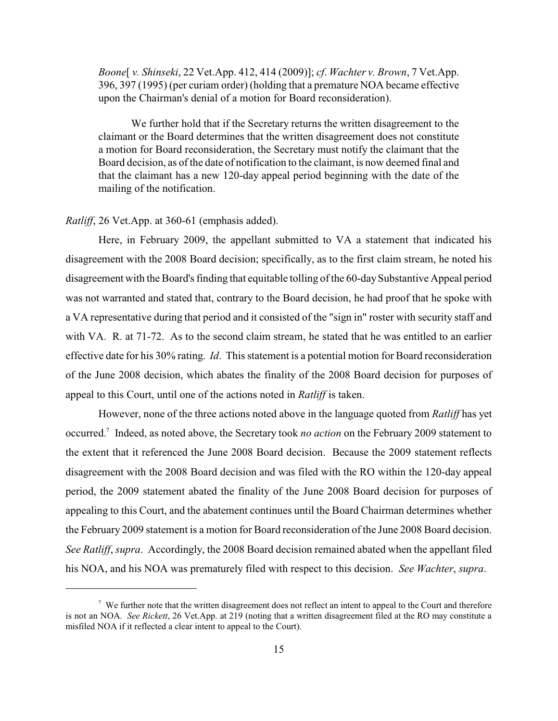*Boone*[ *v. Shinseki*, 22 Vet.App. 412, 414 (2009)]; *cf*. *Wachter v. Brown*, 7 Vet.App. 396, 397 (1995) (per curiam order) (holding that a premature NOA became effective upon the Chairman's denial of a motion for Board reconsideration).

We further hold that if the Secretary returns the written disagreement to the claimant or the Board determines that the written disagreement does not constitute a motion for Board reconsideration, the Secretary must notify the claimant that the Board decision, as of the date of notification to the claimant, is now deemed final and that the claimant has a new 120-day appeal period beginning with the date of the mailing of the notification.

# *Ratliff*, 26 Vet.App. at 360-61 (emphasis added).

Here, in February 2009, the appellant submitted to VA a statement that indicated his disagreement with the 2008 Board decision; specifically, as to the first claim stream, he noted his disagreement with the Board's finding that equitable tolling of the 60-daySubstantive Appeal period was not warranted and stated that, contrary to the Board decision, he had proof that he spoke with a VA representative during that period and it consisted of the "sign in" roster with security staff and with VA. R. at 71-72. As to the second claim stream, he stated that he was entitled to an earlier effective date for his 30% rating. *Id*. This statement is a potential motion for Board reconsideration of the June 2008 decision, which abates the finality of the 2008 Board decision for purposes of appeal to this Court, until one of the actions noted in *Ratliff* is taken.

However, none of the three actions noted above in the language quoted from *Ratliff* has yet occurred.<sup>7</sup> Indeed, as noted above, the Secretary took *no action* on the February 2009 statement to the extent that it referenced the June 2008 Board decision. Because the 2009 statement reflects disagreement with the 2008 Board decision and was filed with the RO within the 120-day appeal period, the 2009 statement abated the finality of the June 2008 Board decision for purposes of appealing to this Court, and the abatement continues until the Board Chairman determines whether the February 2009 statement is a motion for Board reconsideration of the June 2008 Board decision. *See Ratliff*, *supra*. Accordingly, the 2008 Board decision remained abated when the appellant filed his NOA, and his NOA was prematurely filed with respect to this decision. *See Wachter*, *supra*.

<sup>&</sup>lt;sup>7</sup> We further note that the written disagreement does not reflect an intent to appeal to the Court and therefore is not an NOA. *See Rickett*, 26 Vet.App. at 219 (noting that a written disagreement filed at the RO may constitute a misfiled NOA if it reflected a clear intent to appeal to the Court).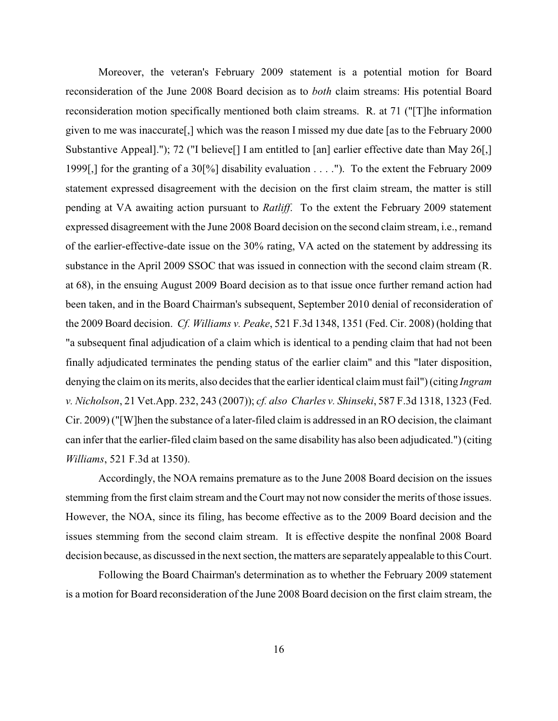Moreover, the veteran's February 2009 statement is a potential motion for Board reconsideration of the June 2008 Board decision as to *both* claim streams: His potential Board reconsideration motion specifically mentioned both claim streams. R. at 71 ("[T]he information given to me was inaccurate[,] which was the reason I missed my due date [as to the February 2000 Substantive Appeal]."); 72 ("I believe<sup>[]</sup> I am entitled to [an] earlier effective date than May 26[,] 1999[,] for the granting of a 30[%] disability evaluation . . . ."). To the extent the February 2009 statement expressed disagreement with the decision on the first claim stream, the matter is still pending at VA awaiting action pursuant to *Ratliff*. To the extent the February 2009 statement expressed disagreement with the June 2008 Board decision on the second claim stream, i.e., remand of the earlier-effective-date issue on the 30% rating, VA acted on the statement by addressing its substance in the April 2009 SSOC that was issued in connection with the second claim stream (R. at 68), in the ensuing August 2009 Board decision as to that issue once further remand action had been taken, and in the Board Chairman's subsequent, September 2010 denial of reconsideration of the 2009 Board decision. *Cf. Williams v. Peake*, 521 F.3d 1348, 1351 (Fed. Cir. 2008) (holding that "a subsequent final adjudication of a claim which is identical to a pending claim that had not been finally adjudicated terminates the pending status of the earlier claim" and this "later disposition, denying the claim on its merits, also decides that the earlier identical claim must fail") (citing *Ingram v. Nicholson*, 21 Vet.App. 232, 243 (2007)); *cf. also Charles v. Shinseki*, 587 F.3d 1318, 1323 (Fed. Cir. 2009) ("[W]hen the substance of a later-filed claim is addressed in an RO decision, the claimant can infer that the earlier-filed claim based on the same disability has also been adjudicated.") (citing *Williams*, 521 F.3d at 1350).

Accordingly, the NOA remains premature as to the June 2008 Board decision on the issues stemming from the first claim stream and the Court may not now consider the merits of those issues. However, the NOA, since its filing, has become effective as to the 2009 Board decision and the issues stemming from the second claim stream. It is effective despite the nonfinal 2008 Board decision because, as discussed in the next section, the matters are separatelyappealable to this Court.

Following the Board Chairman's determination as to whether the February 2009 statement is a motion for Board reconsideration of the June 2008 Board decision on the first claim stream, the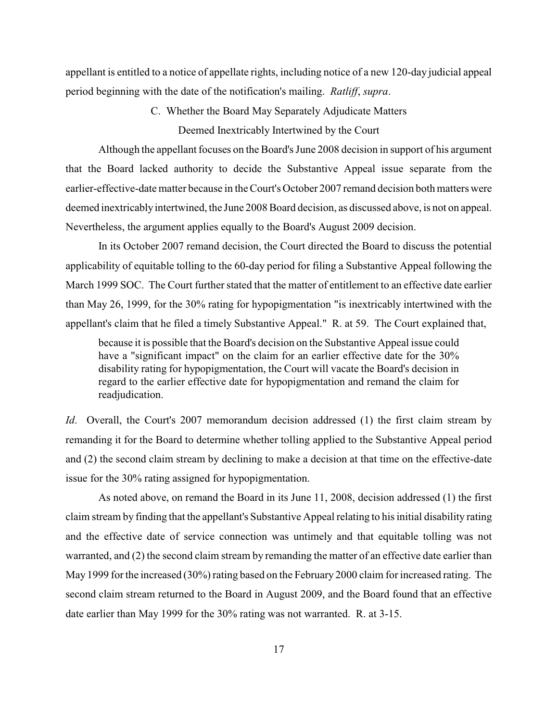appellant is entitled to a notice of appellate rights, including notice of a new 120-day judicial appeal period beginning with the date of the notification's mailing. *Ratliff*, *supra*.

C. Whether the Board May Separately Adjudicate Matters

Deemed Inextricably Intertwined by the Court

Although the appellant focuses on the Board's June 2008 decision in support of his argument that the Board lacked authority to decide the Substantive Appeal issue separate from the earlier-effective-date matter because in the Court's October 2007 remand decision both matters were deemed inextricablyintertwined, the June 2008 Board decision, as discussed above, is not on appeal. Nevertheless, the argument applies equally to the Board's August 2009 decision.

In its October 2007 remand decision, the Court directed the Board to discuss the potential applicability of equitable tolling to the 60-day period for filing a Substantive Appeal following the March 1999 SOC. The Court further stated that the matter of entitlement to an effective date earlier than May 26, 1999, for the 30% rating for hypopigmentation "is inextricably intertwined with the appellant's claim that he filed a timely Substantive Appeal." R. at 59. The Court explained that,

because it is possible that the Board's decision on the Substantive Appeal issue could have a "significant impact" on the claim for an earlier effective date for the  $30\%$ disability rating for hypopigmentation, the Court will vacate the Board's decision in regard to the earlier effective date for hypopigmentation and remand the claim for readjudication.

*Id.* Overall, the Court's 2007 memorandum decision addressed (1) the first claim stream by remanding it for the Board to determine whether tolling applied to the Substantive Appeal period and (2) the second claim stream by declining to make a decision at that time on the effective-date issue for the 30% rating assigned for hypopigmentation.

As noted above, on remand the Board in its June 11, 2008, decision addressed (1) the first claim stream by finding that the appellant's Substantive Appeal relating to his initial disability rating and the effective date of service connection was untimely and that equitable tolling was not warranted, and (2) the second claim stream by remanding the matter of an effective date earlier than May 1999 for the increased (30%) rating based on the February 2000 claim for increased rating. The second claim stream returned to the Board in August 2009, and the Board found that an effective date earlier than May 1999 for the 30% rating was not warranted. R. at 3-15.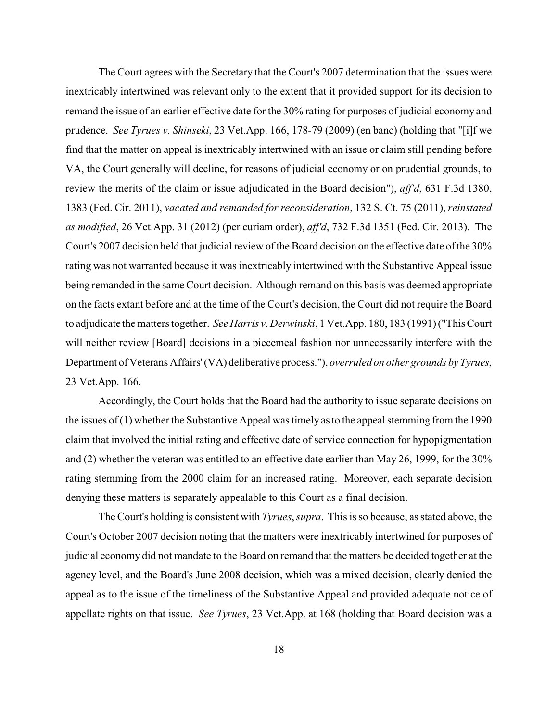The Court agrees with the Secretary that the Court's 2007 determination that the issues were inextricably intertwined was relevant only to the extent that it provided support for its decision to remand the issue of an earlier effective date for the 30% rating for purposes of judicial economy and prudence. *See Tyrues v. Shinseki*, 23 Vet.App. 166, 178-79 (2009) (en banc) (holding that "[i]f we find that the matter on appeal is inextricably intertwined with an issue or claim still pending before VA, the Court generally will decline, for reasons of judicial economy or on prudential grounds, to review the merits of the claim or issue adjudicated in the Board decision"), *aff'd*, 631 F.3d 1380, 1383 (Fed. Cir. 2011), *vacated and remanded for reconsideration*, 132 S. Ct. 75 (2011), *reinstated as modified*, 26 Vet.App. 31 (2012) (per curiam order), *aff'd*, 732 F.3d 1351 (Fed. Cir. 2013). The Court's 2007 decision held that judicial review of the Board decision on the effective date of the 30% rating was not warranted because it was inextricably intertwined with the Substantive Appeal issue being remanded in the same Court decision. Although remand on this basis was deemed appropriate on the facts extant before and at the time of the Court's decision, the Court did not require the Board to adjudicate the matters together. *See Harris v. Derwinski*, 1 Vet.App. 180, 183 (1991) ("This Court will neither review [Board] decisions in a piecemeal fashion nor unnecessarily interfere with the Department of Veterans Affairs'(VA) deliberative process."), *overruled on other grounds byTyrues*, 23 Vet.App. 166.

Accordingly, the Court holds that the Board had the authority to issue separate decisions on the issues of  $(1)$  whether the Substantive Appeal was timely as to the appeal stemming from the 1990 claim that involved the initial rating and effective date of service connection for hypopigmentation and (2) whether the veteran was entitled to an effective date earlier than May 26, 1999, for the 30% rating stemming from the 2000 claim for an increased rating. Moreover, each separate decision denying these matters is separately appealable to this Court as a final decision.

The Court's holding is consistent with *Tyrues*, *supra*. This is so because, as stated above, the Court's October 2007 decision noting that the matters were inextricably intertwined for purposes of judicial economy did not mandate to the Board on remand that the matters be decided together at the agency level, and the Board's June 2008 decision, which was a mixed decision, clearly denied the appeal as to the issue of the timeliness of the Substantive Appeal and provided adequate notice of appellate rights on that issue. *See Tyrues*, 23 Vet.App. at 168 (holding that Board decision was a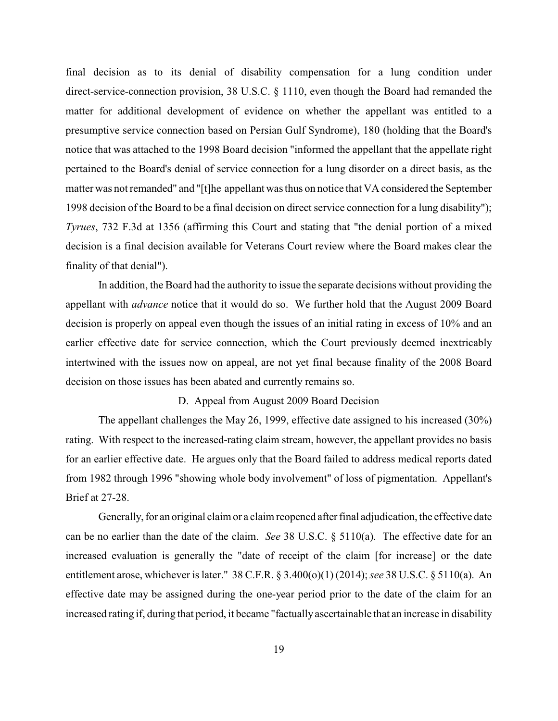final decision as to its denial of disability compensation for a lung condition under direct-service-connection provision, 38 U.S.C. § 1110, even though the Board had remanded the matter for additional development of evidence on whether the appellant was entitled to a presumptive service connection based on Persian Gulf Syndrome), 180 (holding that the Board's notice that was attached to the 1998 Board decision "informed the appellant that the appellate right pertained to the Board's denial of service connection for a lung disorder on a direct basis, as the matter was not remanded" and "[t]he appellant was thus on notice that VA considered the September 1998 decision of the Board to be a final decision on direct service connection for a lung disability"); *Tyrues*, 732 F.3d at 1356 (affirming this Court and stating that "the denial portion of a mixed decision is a final decision available for Veterans Court review where the Board makes clear the finality of that denial").

In addition, the Board had the authority to issue the separate decisions without providing the appellant with *advance* notice that it would do so. We further hold that the August 2009 Board decision is properly on appeal even though the issues of an initial rating in excess of 10% and an earlier effective date for service connection, which the Court previously deemed inextricably intertwined with the issues now on appeal, are not yet final because finality of the 2008 Board decision on those issues has been abated and currently remains so.

D. Appeal from August 2009 Board Decision

The appellant challenges the May 26, 1999, effective date assigned to his increased (30%) rating. With respect to the increased-rating claim stream, however, the appellant provides no basis for an earlier effective date. He argues only that the Board failed to address medical reports dated from 1982 through 1996 "showing whole body involvement" of loss of pigmentation. Appellant's Brief at 27-28.

Generally, for an original claim or a claim reopened after final adjudication, the effective date can be no earlier than the date of the claim. *See* 38 U.S.C. § 5110(a). The effective date for an increased evaluation is generally the "date of receipt of the claim [for increase] or the date entitlement arose, whichever is later." 38 C.F.R. § 3.400(o)(1) (2014); *see* 38 U.S.C. § 5110(a). An effective date may be assigned during the one-year period prior to the date of the claim for an increased rating if, during that period, it became "factually ascertainable that an increase in disability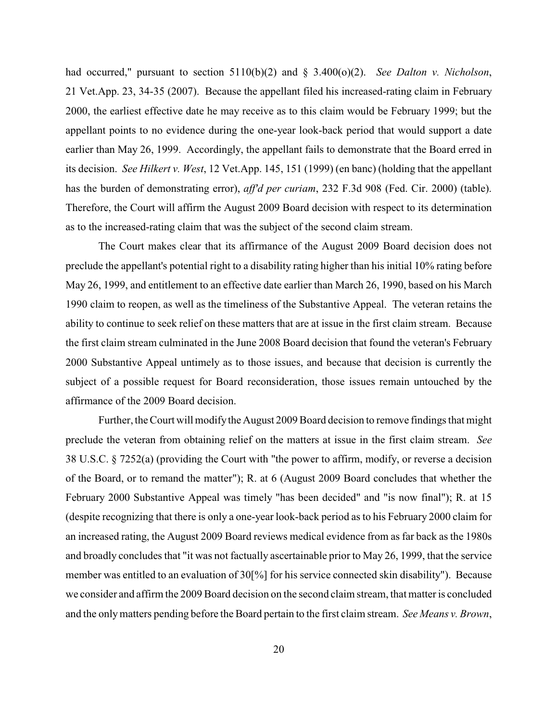had occurred," pursuant to section 5110(b)(2) and § 3.400(o)(2). *See Dalton v. Nicholson*, 21 Vet.App. 23, 34-35 (2007). Because the appellant filed his increased-rating claim in February 2000, the earliest effective date he may receive as to this claim would be February 1999; but the appellant points to no evidence during the one-year look-back period that would support a date earlier than May 26, 1999. Accordingly, the appellant fails to demonstrate that the Board erred in its decision. *See Hilkert v. West*, 12 Vet.App. 145, 151 (1999) (en banc) (holding that the appellant has the burden of demonstrating error), *aff'd per curiam*, 232 F.3d 908 (Fed. Cir. 2000) (table). Therefore, the Court will affirm the August 2009 Board decision with respect to its determination as to the increased-rating claim that was the subject of the second claim stream.

The Court makes clear that its affirmance of the August 2009 Board decision does not preclude the appellant's potential right to a disability rating higher than his initial 10% rating before May 26, 1999, and entitlement to an effective date earlier than March 26, 1990, based on his March 1990 claim to reopen, as well as the timeliness of the Substantive Appeal. The veteran retains the ability to continue to seek relief on these matters that are at issue in the first claim stream. Because the first claim stream culminated in the June 2008 Board decision that found the veteran's February 2000 Substantive Appeal untimely as to those issues, and because that decision is currently the subject of a possible request for Board reconsideration, those issues remain untouched by the affirmance of the 2009 Board decision.

Further, the Court will modify the August 2009 Board decision to remove findings that might preclude the veteran from obtaining relief on the matters at issue in the first claim stream. *See* 38 U.S.C. § 7252(a) (providing the Court with "the power to affirm, modify, or reverse a decision of the Board, or to remand the matter"); R. at 6 (August 2009 Board concludes that whether the February 2000 Substantive Appeal was timely "has been decided" and "is now final"); R. at 15 (despite recognizing that there is only a one-year look-back period as to his February 2000 claim for an increased rating, the August 2009 Board reviews medical evidence from as far back as the 1980s and broadly concludes that "it was not factually ascertainable prior to May 26, 1999, that the service member was entitled to an evaluation of 30[%] for his service connected skin disability"). Because we consider and affirm the 2009 Board decision on the second claim stream, that matter is concluded and the onlymatters pending before the Board pertain to the first claim stream. *See Means v. Brown*,